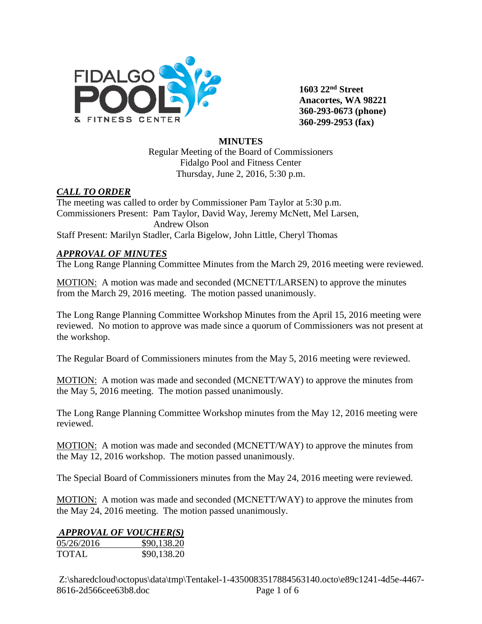

**1603 22nd Street Anacortes, WA 98221 360-293-0673 (phone) 360-299-2953 (fax)**

#### **MINUTES**

Regular Meeting of the Board of Commissioners Fidalgo Pool and Fitness Center Thursday, June 2, 2016, 5:30 p.m.

### *CALL TO ORDER*

The meeting was called to order by Commissioner Pam Taylor at 5:30 p.m. Commissioners Present: Pam Taylor, David Way, Jeremy McNett, Mel Larsen, Andrew Olson Staff Present: Marilyn Stadler, Carla Bigelow, John Little, Cheryl Thomas

### *APPROVAL OF MINUTES*

The Long Range Planning Committee Minutes from the March 29, 2016 meeting were reviewed.

MOTION: A motion was made and seconded (MCNETT/LARSEN) to approve the minutes from the March 29, 2016 meeting. The motion passed unanimously.

The Long Range Planning Committee Workshop Minutes from the April 15, 2016 meeting were reviewed. No motion to approve was made since a quorum of Commissioners was not present at the workshop.

The Regular Board of Commissioners minutes from the May 5, 2016 meeting were reviewed.

MOTION: A motion was made and seconded (MCNETT/WAY) to approve the minutes from the May 5, 2016 meeting. The motion passed unanimously.

The Long Range Planning Committee Workshop minutes from the May 12, 2016 meeting were reviewed.

MOTION: A motion was made and seconded (MCNETT/WAY) to approve the minutes from the May 12, 2016 workshop. The motion passed unanimously.

The Special Board of Commissioners minutes from the May 24, 2016 meeting were reviewed.

MOTION: A motion was made and seconded (MCNETT/WAY) to approve the minutes from the May 24, 2016 meeting. The motion passed unanimously.

|            | <b>APPROVAL OF VOUCHER(S)</b> |
|------------|-------------------------------|
| 05/26/2016 | \$90,138.20                   |
| TOTAL      | \$90,138.20                   |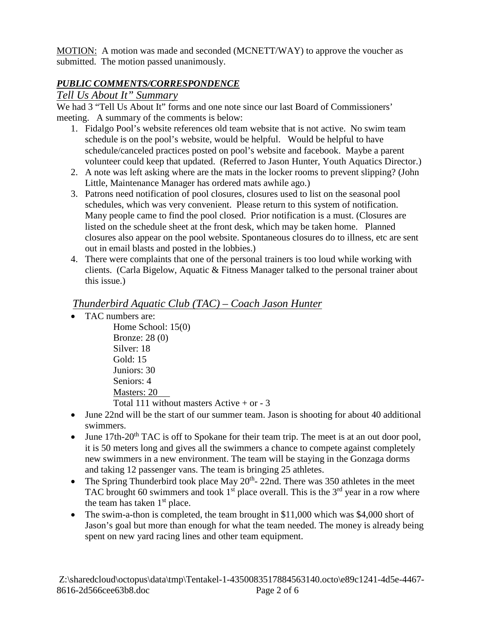MOTION: A motion was made and seconded (MCNETT/WAY) to approve the voucher as submitted. The motion passed unanimously.

## *PUBLIC COMMENTS/CORRESPONDENCE*

## *Tell Us About It" Summary*

We had 3 "Tell Us About It" forms and one note since our last Board of Commissioners' meeting. A summary of the comments is below:

- 1. Fidalgo Pool's website references old team website that is not active. No swim team schedule is on the pool's website, would be helpful. Would be helpful to have schedule/canceled practices posted on pool's website and facebook. Maybe a parent volunteer could keep that updated. (Referred to Jason Hunter, Youth Aquatics Director.)
- 2. A note was left asking where are the mats in the locker rooms to prevent slipping? (John Little, Maintenance Manager has ordered mats awhile ago.)
- 3. Patrons need notification of pool closures, closures used to list on the seasonal pool schedules, which was very convenient. Please return to this system of notification. Many people came to find the pool closed. Prior notification is a must. (Closures are listed on the schedule sheet at the front desk, which may be taken home. Planned closures also appear on the pool website. Spontaneous closures do to illness, etc are sent out in email blasts and posted in the lobbies.)
- 4. There were complaints that one of the personal trainers is too loud while working with clients. (Carla Bigelow, Aquatic & Fitness Manager talked to the personal trainer about this issue.)

## *Thunderbird Aquatic Club (TAC) – Coach Jason Hunter*

• TAC numbers are:

Home School: 15(0) Bronze: 28 (0) Silver: 18 Gold: 15 Juniors: 30 Seniors: 4 Masters: 20 Total 111 without masters Active  $+$  or  $-3$ 

- June 22nd will be the start of our summer team. Jason is shooting for about 40 additional swimmers.
- June  $17th-20<sup>th</sup> TAC$  is off to Spokane for their team trip. The meet is at an out door pool, it is 50 meters long and gives all the swimmers a chance to compete against completely new swimmers in a new environment. The team will be staying in the Gonzaga dorms and taking 12 passenger vans. The team is bringing 25 athletes.
- The Spring Thunderbird took place May  $20<sup>th</sup>$  22nd. There was 350 athletes in the meet TAC brought 60 swimmers and took  $1<sup>st</sup>$  place overall. This is the  $3<sup>rd</sup>$  year in a row where the team has taken  $1<sup>st</sup>$  place.
- The swim-a-thon is completed, the team brought in \$11,000 which was \$4,000 short of Jason's goal but more than enough for what the team needed. The money is already being spent on new yard racing lines and other team equipment.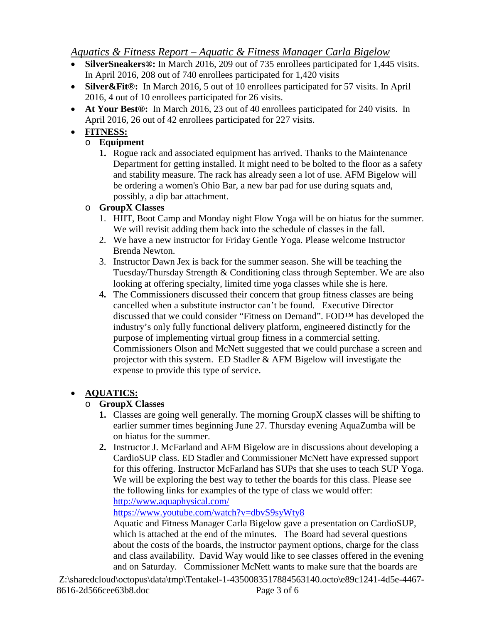# *Aquatics & Fitness Report – Aquatic & Fitness Manager Carla Bigelow*

- **SilverSneakers®:** In March 2016, 209 out of 735 enrollees participated for 1,445 visits. In April 2016, 208 out of 740 enrollees participated for 1,420 visits
- **Silver&Fit®:** In March 2016, 5 out of 10 enrollees participated for 57 visits. In April 2016, 4 out of 10 enrollees participated for 26 visits.
- **At Your Best®:** In March 2016, 23 out of 40 enrollees participated for 240 visits. In April 2016, 26 out of 42 enrollees participated for 227 visits.

# • **FITNESS:**

# o **Equipment**

**1.** Rogue rack and associated equipment has arrived. Thanks to the Maintenance Department for getting installed. It might need to be bolted to the floor as a safety and stability measure. The rack has already seen a lot of use. AFM Bigelow will be ordering a women's Ohio Bar, a new bar pad for use during squats and, possibly, a dip bar attachment.

# o **GroupX Classes**

- 1. HIIT, Boot Camp and Monday night Flow Yoga will be on hiatus for the summer. We will revisit adding them back into the schedule of classes in the fall.
- 2. We have a new instructor for Friday Gentle Yoga. Please welcome Instructor Brenda Newton.
- 3. Instructor Dawn Jex is back for the summer season. She will be teaching the Tuesday/Thursday Strength & Conditioning class through September. We are also looking at offering specialty, limited time yoga classes while she is here.
- **4.** The Commissioners discussed their concern that group fitness classes are being cancelled when a substitute instructor can't be found. Executive Director discussed that we could consider "Fitness on Demand". FOD™ has developed the industry's only fully functional delivery platform, engineered distinctly for the purpose of implementing virtual group fitness in a commercial setting. Commissioners Olson and McNett suggested that we could purchase a screen and projector with this system. ED Stadler  $&$  AFM Bigelow will investigate the expense to provide this type of service.

# • **AQUATICS:**

## o **GroupX Classes**

- **1.** Classes are going well generally. The morning GroupX classes will be shifting to earlier summer times beginning June 27. Thursday evening AquaZumba will be on hiatus for the summer.
- **2.** Instructor J. McFarland and AFM Bigelow are in discussions about developing a CardioSUP class. ED Stadler and Commissioner McNett have expressed support for this offering. Instructor McFarland has SUPs that she uses to teach SUP Yoga. We will be exploring the best way to tether the boards for this class. Please see the following links for examples of the type of class we would offer: <http://www.aquaphysical.com/>

<https://www.youtube.com/watch?v=dbvS9syWty8>

Aquatic and Fitness Manager Carla Bigelow gave a presentation on CardioSUP, which is attached at the end of the minutes. The Board had several questions about the costs of the boards, the instructor payment options, charge for the class and class availability. David Way would like to see classes offered in the evening and on Saturday. Commissioner McNett wants to make sure that the boards are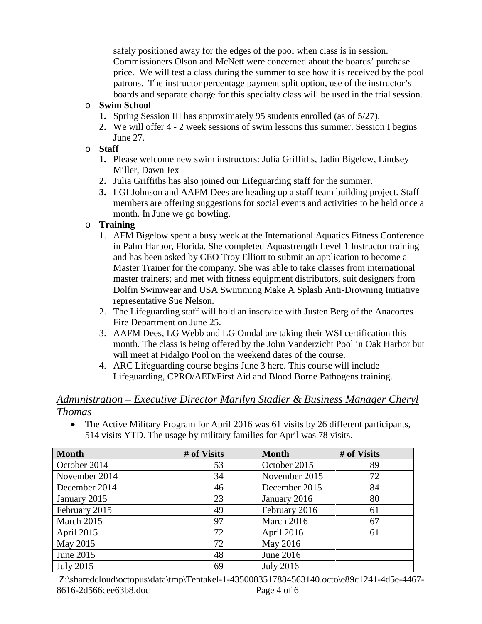safely positioned away for the edges of the pool when class is in session. Commissioners Olson and McNett were concerned about the boards' purchase price. We will test a class during the summer to see how it is received by the pool patrons. The instructor percentage payment split option, use of the instructor's boards and separate charge for this specialty class will be used in the trial session.

### o **Swim School**

- **1.** Spring Session III has approximately 95 students enrolled (as of 5/27).
- **2.** We will offer 4 2 week sessions of swim lessons this summer. Session I begins June 27.

#### o **Staff**

- **1.** Please welcome new swim instructors: Julia Griffiths, Jadin Bigelow, Lindsey Miller, Dawn Jex
- **2.** Julia Griffiths has also joined our Lifeguarding staff for the summer.
- **3.** LGI Johnson and AAFM Dees are heading up a staff team building project. Staff members are offering suggestions for social events and activities to be held once a month. In June we go bowling.

### o **Training**

- 1. AFM Bigelow spent a busy week at the International Aquatics Fitness Conference in Palm Harbor, Florida. She completed Aquastrength Level 1 Instructor training and has been asked by CEO Troy Elliott to submit an application to become a Master Trainer for the company. She was able to take classes from international master trainers; and met with fitness equipment distributors, suit designers from Dolfin Swimwear and USA Swimming Make A Splash Anti-Drowning Initiative representative Sue Nelson.
- 2. The Lifeguarding staff will hold an inservice with Justen Berg of the Anacortes Fire Department on June 25.
- 3. AAFM Dees, LG Webb and LG Omdal are taking their WSI certification this month. The class is being offered by the John Vanderzicht Pool in Oak Harbor but will meet at Fidalgo Pool on the weekend dates of the course.
- 4. ARC Lifeguarding course begins June 3 here. This course will include Lifeguarding, CPRO/AED/First Aid and Blood Borne Pathogens training.

## *Administration – Executive Director Marilyn Stadler & Business Manager Cheryl Thomas*

• The Active Military Program for April 2016 was 61 visits by 26 different participants, 514 visits YTD. The usage by military families for April was 78 visits.

| <b>Month</b>     | # of Visits | <b>Month</b>     | # of Visits |
|------------------|-------------|------------------|-------------|
| October 2014     | 53          | October 2015     | 89          |
| November 2014    | 34          | November 2015    | 72          |
| December 2014    | 46          | December 2015    | 84          |
| January 2015     | 23          | January 2016     | 80          |
| February 2015    | 49          | February 2016    | 61          |
| March 2015       | 97          | March 2016       | 67          |
| April 2015       | 72          | April 2016       | 61          |
| May 2015         | 72          | May 2016         |             |
| June 2015        | 48          | June 2016        |             |
| <b>July 2015</b> | 69          | <b>July 2016</b> |             |

Z:\sharedcloud\octopus\data\tmp\Tentakel-1-4350083517884563140.octo\e89c1241-4d5e-4467- 8616-2d566cee63b8.doc Page 4 of 6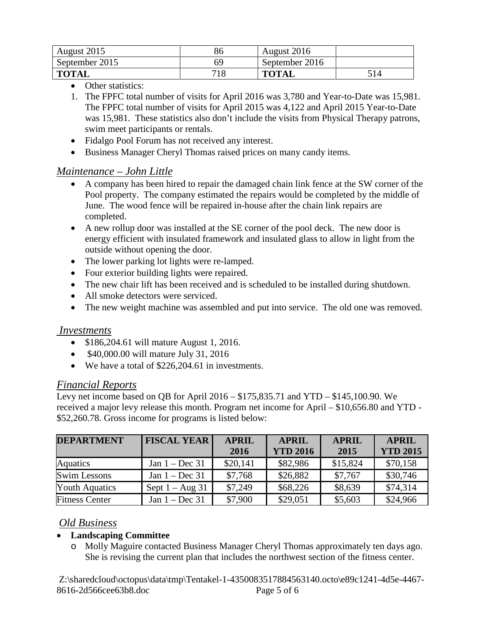| August 2015    | 86  | August 2016    |     |
|----------------|-----|----------------|-----|
| September 2015 | 69  | September 2016 |     |
| <b>TOTAL</b>   | 718 | <b>TOTAL</b>   | 514 |

- Other statistics:
- 1. The FPFC total number of visits for April 2016 was 3,780 and Year-to-Date was 15,981. The FPFC total number of visits for April 2015 was 4,122 and April 2015 Year-to-Date was 15,981. These statistics also don't include the visits from Physical Therapy patrons, swim meet participants or rentals.
- Fidalgo Pool Forum has not received any interest.
- Business Manager Cheryl Thomas raised prices on many candy items.

### *Maintenance – John Little*

- A company has been hired to repair the damaged chain link fence at the SW corner of the Pool property. The company estimated the repairs would be completed by the middle of June. The wood fence will be repaired in-house after the chain link repairs are completed.
- A new rollup door was installed at the SE corner of the pool deck. The new door is energy efficient with insulated framework and insulated glass to allow in light from the outside without opening the door.
- The lower parking lot lights were re-lamped.
- Four exterior building lights were repaired.
- The new chair lift has been received and is scheduled to be installed during shutdown.
- All smoke detectors were serviced.
- The new weight machine was assembled and put into service. The old one was removed.

#### *Investments*

- \$186,204.61 will mature August 1, 2016.
- \$40,000.00 will mature July 31, 2016
- We have a total of \$226,204.61 in investments.

## *Financial Reports*

Levy net income based on QB for April 2016 – \$175,835.71 and YTD – \$145,100.90. We received a major levy release this month. Program net income for April – \$10,656.80 and YTD - \$52,260.78. Gross income for programs is listed below:

| <b>DEPARTMENT</b>     | <b>FISCAL YEAR</b> | <b>APRIL</b> | <b>APRIL</b>    | <b>APRIL</b> | <b>APRIL</b>    |
|-----------------------|--------------------|--------------|-----------------|--------------|-----------------|
|                       |                    | 2016         | <b>YTD 2016</b> | 2015         | <b>YTD 2015</b> |
| Aquatics              | Jan $1 - Dec 31$   | \$20,141     | \$82,986        | \$15,824     | \$70,158        |
| <b>Swim Lessons</b>   | Jan $1 - Dec 31$   | \$7,768      | \$26,882        | \$7,767      | \$30,746        |
| <b>Youth Aquatics</b> | Sept $1 - Aug\ 31$ | \$7,249      | \$68,226        | \$8,639      | \$74,314        |
| <b>Fitness Center</b> | Jan $1 - Dec 31$   | \$7,900      | \$29,051        | \$5,603      | \$24,966        |

## *Old Business*

#### • **Landscaping Committee**

o Molly Maguire contacted Business Manager Cheryl Thomas approximately ten days ago. She is revising the current plan that includes the northwest section of the fitness center.

Z:\sharedcloud\octopus\data\tmp\Tentakel-1-4350083517884563140.octo\e89c1241-4d5e-4467- 8616-2d566cee63b8.doc Page 5 of 6